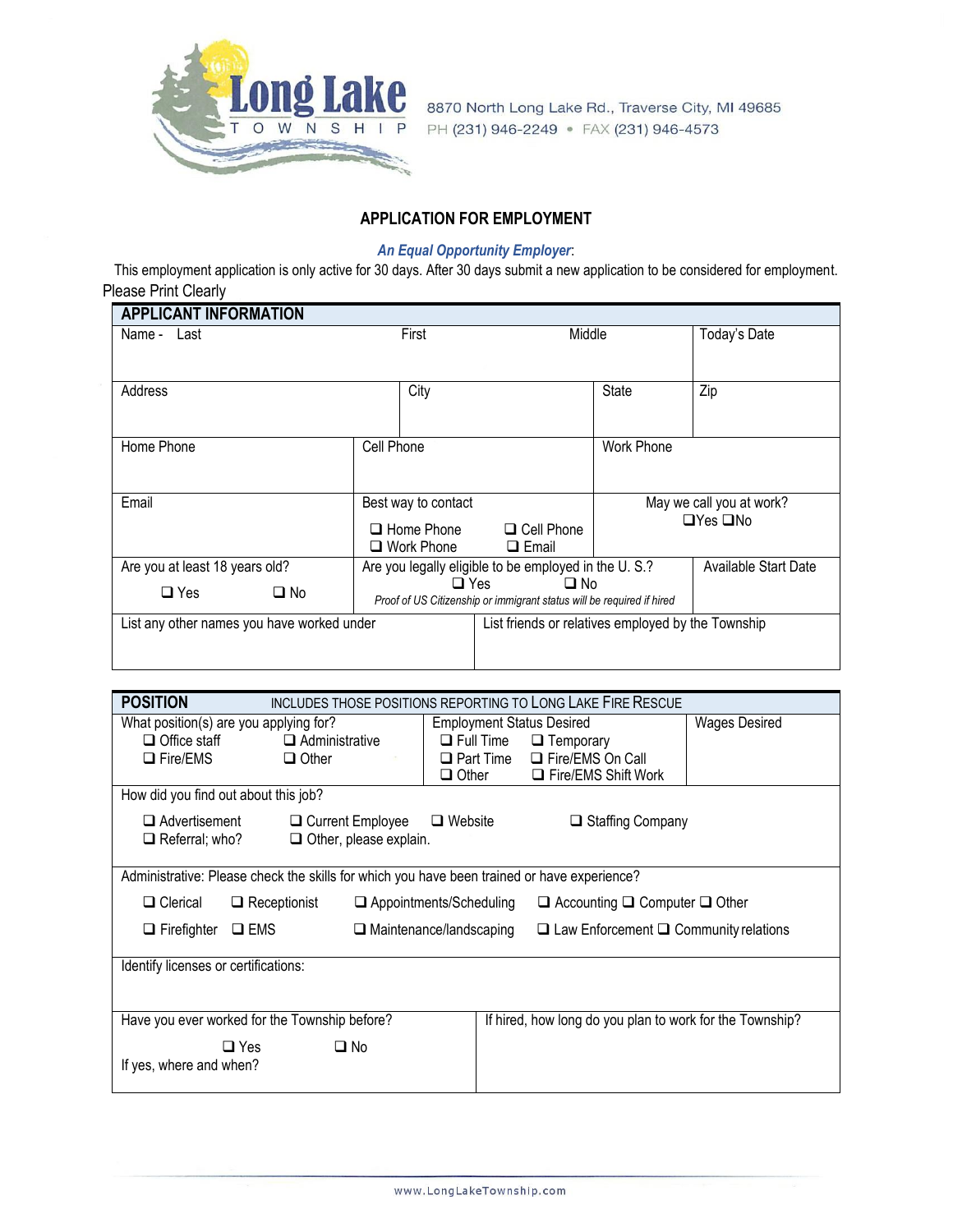

8870 North Long Lake Rd., Traverse City, MI 49685 PH (231) 946-2249 • FAX (231) 946-4573

## **APPLICATION FOR EMPLOYMENT**

## *An Equal Opportunity Employer*:

This employment application is only active for 30 days. After 30 days submit a new application to be considered for employment. Please Print Clearly

| <b>APPLICANT INFORMATION</b>               |                                                                                                     |                                                      |                                                  |                             |
|--------------------------------------------|-----------------------------------------------------------------------------------------------------|------------------------------------------------------|--------------------------------------------------|-----------------------------|
| Name - Last                                | First                                                                                               |                                                      | Middle                                           |                             |
| Address                                    | City                                                                                                |                                                      | <b>State</b>                                     | Zip                         |
| Home Phone                                 | Cell Phone                                                                                          |                                                      | <b>Work Phone</b>                                |                             |
| Email                                      | Best way to contact<br>$\Box$ Cell Phone<br>$\Box$ Home Phone<br>□ Work Phone<br>$\Box$ Email       |                                                      | May we call you at work?<br>$\Box$ Yes $\Box$ No |                             |
| Are you at least 18 years old?             |                                                                                                     | Are you legally eligible to be employed in the U.S.? |                                                  | <b>Available Start Date</b> |
| $\Box$ No<br>$\Box$ Yes                    | $\Box$ Yes<br>$\square$ No<br>Proof of US Citizenship or immigrant status will be required if hired |                                                      |                                                  |                             |
| List any other names you have worked under |                                                                                                     | List friends or relatives employed by the Township   |                                                  |                             |

| <b>POSITION</b>                                                                                           |                                                                                                         |                               |                                  | <b>INCLUDES THOSE POSITIONS REPORTING TO LONG LAKE FIRE RESCUE</b>                          |                      |
|-----------------------------------------------------------------------------------------------------------|---------------------------------------------------------------------------------------------------------|-------------------------------|----------------------------------|---------------------------------------------------------------------------------------------|----------------------|
|                                                                                                           | What position(s) are you applying for?                                                                  |                               | <b>Employment Status Desired</b> |                                                                                             | <b>Wages Desired</b> |
| $\Box$ Office staff                                                                                       | $\Box$ Administrative                                                                                   |                               | $\Box$ Full Time                 | $\Box$ Temporary                                                                            |                      |
| $\Box$ Fire/EMS                                                                                           | $\Box$ Other                                                                                            |                               | $\Box$ Part Time                 | □ Fire/EMS On Call                                                                          |                      |
|                                                                                                           |                                                                                                         |                               | $\Box$ Other                     | $\Box$ Fire/EMS Shift Work                                                                  |                      |
| How did you find out about this job?                                                                      |                                                                                                         |                               |                                  |                                                                                             |                      |
| $\Box$ Advertisement                                                                                      |                                                                                                         | $\Box$ Current Employee       | $\Box$ Website                   | $\Box$ Staffing Company                                                                     |                      |
| $\Box$ Referral; who?                                                                                     |                                                                                                         | $\Box$ Other, please explain. |                                  |                                                                                             |                      |
|                                                                                                           |                                                                                                         |                               |                                  |                                                                                             |                      |
|                                                                                                           |                                                                                                         |                               |                                  | Administrative: Please check the skills for which you have been trained or have experience? |                      |
| $\Box$ Clerical                                                                                           | $\Box$ Accounting $\Box$ Computer $\Box$ Other<br>$\Box$ Receptionist<br>$\Box$ Appointments/Scheduling |                               |                                  |                                                                                             |                      |
| $\Box$ Firefighter                                                                                        | $\square$ EMS                                                                                           |                               | $\Box$ Maintenance/landscaping   | $\Box$ Law Enforcement $\Box$ Community relations                                           |                      |
| Identify licenses or certifications:                                                                      |                                                                                                         |                               |                                  |                                                                                             |                      |
| Have you ever worked for the Township before?<br>If hired, how long do you plan to work for the Township? |                                                                                                         |                               |                                  |                                                                                             |                      |
|                                                                                                           | $\Box$ Yes                                                                                              | $\square$ No                  |                                  |                                                                                             |                      |
| If yes, where and when?                                                                                   |                                                                                                         |                               |                                  |                                                                                             |                      |
|                                                                                                           |                                                                                                         |                               |                                  |                                                                                             |                      |
|                                                                                                           |                                                                                                         |                               |                                  |                                                                                             |                      |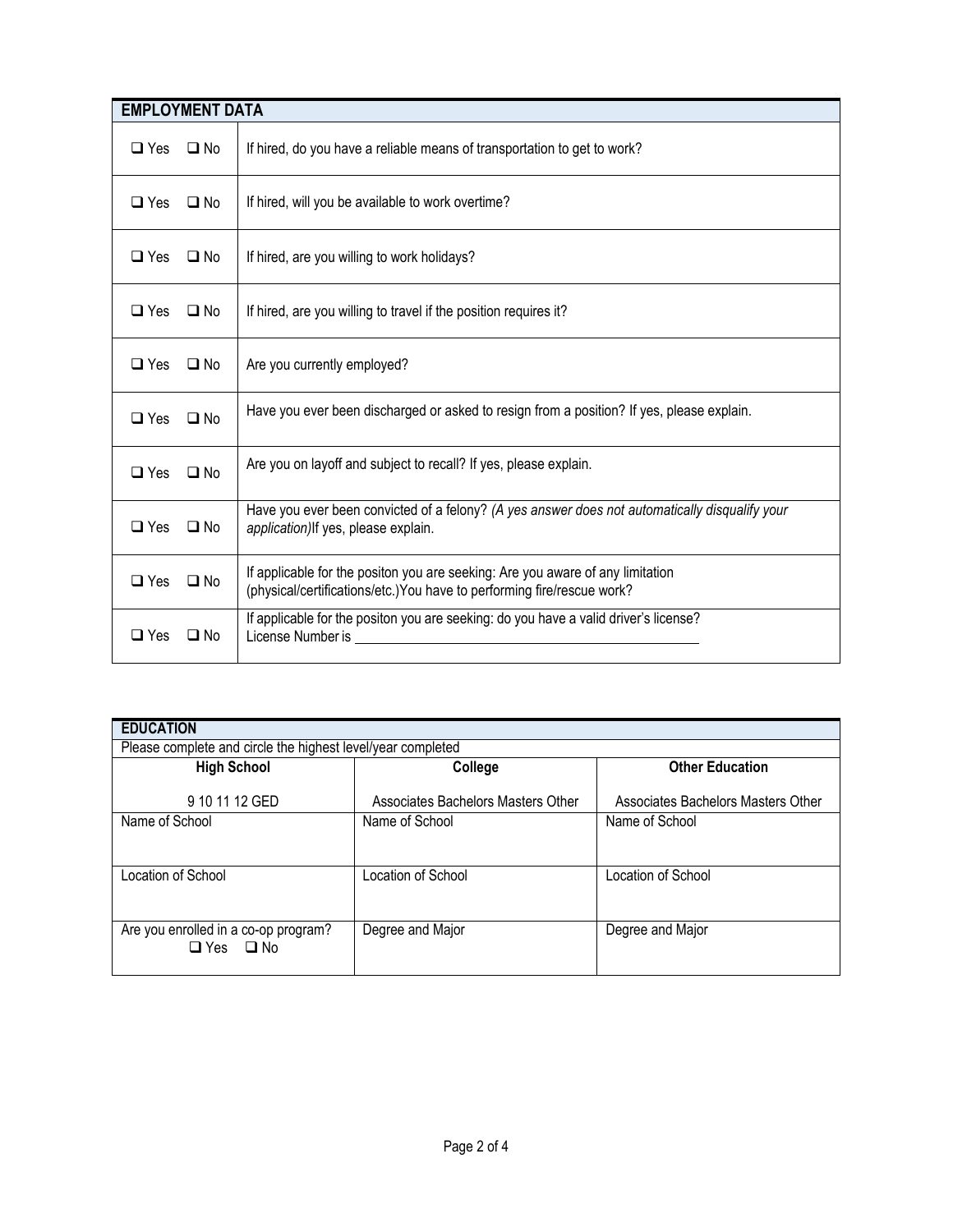| <b>EMPLOYMENT DATA</b> |              |                                                                                                                                                                                                                                                                                                                            |
|------------------------|--------------|----------------------------------------------------------------------------------------------------------------------------------------------------------------------------------------------------------------------------------------------------------------------------------------------------------------------------|
| $\Box$ Yes             | $\Box$ No    | If hired, do you have a reliable means of transportation to get to work?                                                                                                                                                                                                                                                   |
| $\Box$ Yes             | $\Box$ No    | If hired, will you be available to work overtime?                                                                                                                                                                                                                                                                          |
| $\Box$ Yes             | $\square$ No | If hired, are you willing to work holidays?                                                                                                                                                                                                                                                                                |
| $\Box$ Yes             | $\Box$ No    | If hired, are you willing to travel if the position requires it?                                                                                                                                                                                                                                                           |
| $\Box$ Yes             | $\square$ No | Are you currently employed?                                                                                                                                                                                                                                                                                                |
| $\Box$ Yes             | $\Box$ No    | Have you ever been discharged or asked to resign from a position? If yes, please explain.                                                                                                                                                                                                                                  |
| $\Box$ Yes             | $\Box$ No    | Are you on layoff and subject to recall? If yes, please explain.                                                                                                                                                                                                                                                           |
| $\Box$ Yes             | $\Box$ No    | Have you ever been convicted of a felony? (A yes answer does not automatically disqualify your<br>application) If yes, please explain.                                                                                                                                                                                     |
| $\square$ Yes          | $\Box$ No    | If applicable for the positon you are seeking: Are you aware of any limitation<br>(physical/certifications/etc.) You have to performing fire/rescue work?                                                                                                                                                                  |
| $\Box$ Yes             | $\Box$ No    | If applicable for the positon you are seeking: do you have a valid driver's license?<br>License Number is <u>experience</u> and the set of the set of the set of the set of the set of the set of the set of the set of the set of the set of the set of the set of the set of the set of the set of the set of the set of |

| <b>EDUCATION</b>                                             |                                    |                                    |  |
|--------------------------------------------------------------|------------------------------------|------------------------------------|--|
| Please complete and circle the highest level/year completed  |                                    |                                    |  |
| <b>High School</b>                                           | College                            | <b>Other Education</b>             |  |
| 9 10 11 12 GED                                               | Associates Bachelors Masters Other | Associates Bachelors Masters Other |  |
| Name of School                                               | Name of School                     | Name of School                     |  |
|                                                              |                                    |                                    |  |
| Location of School                                           | Location of School                 | Location of School                 |  |
|                                                              |                                    |                                    |  |
| Are you enrolled in a co-op program?<br>$\Box$ Yes $\Box$ No | Degree and Major                   | Degree and Major                   |  |
|                                                              |                                    |                                    |  |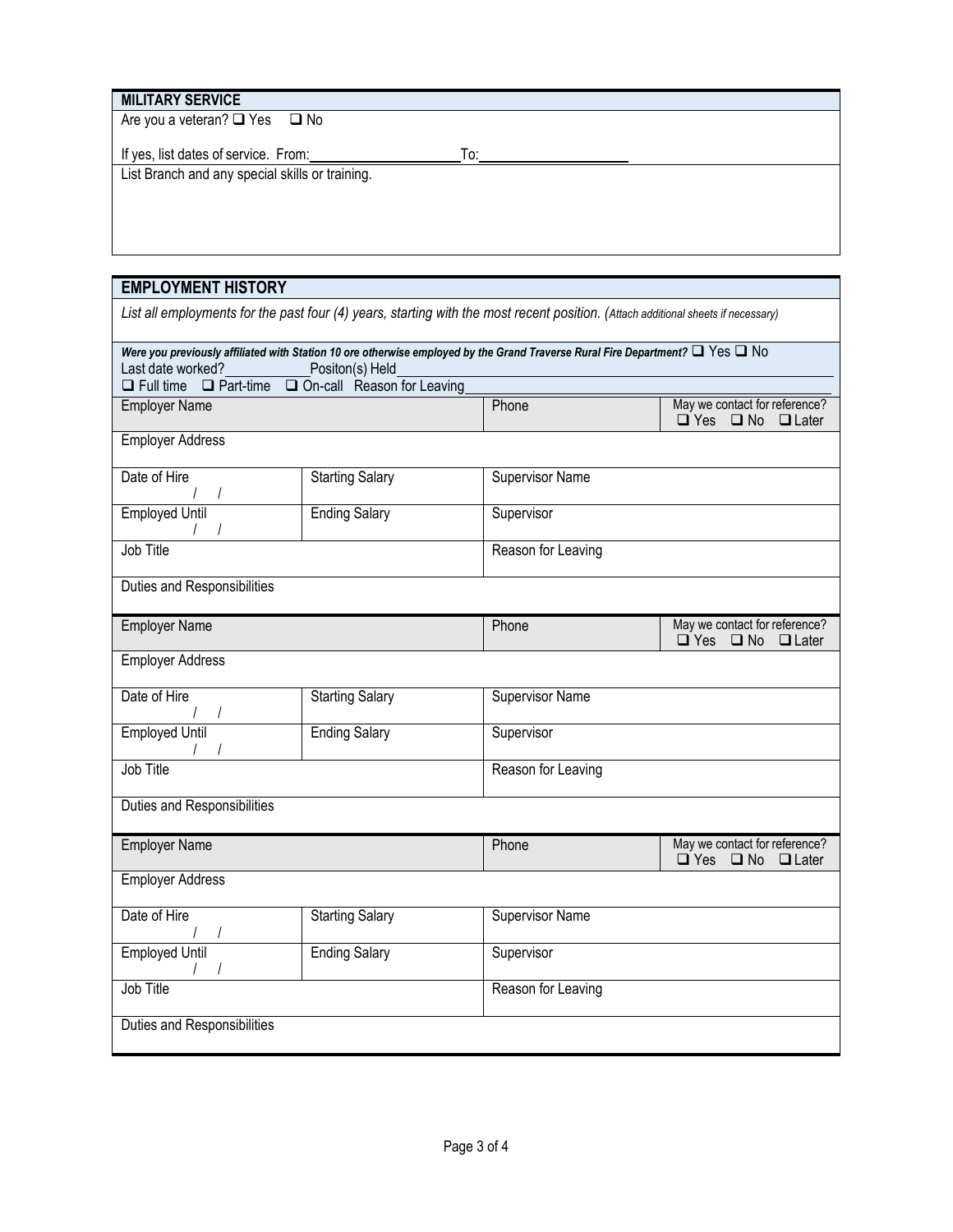| <b>MILITARY SERVICE</b>                         |     |
|-------------------------------------------------|-----|
| Are you a veteran? $\Box$ Yes $\Box$ No         |     |
|                                                 |     |
| If yes, list dates of service. From:            | To: |
| List Branch and any special skills or training. |     |
|                                                 |     |
|                                                 |     |
|                                                 |     |

| <b>EMPLOYMENT HISTORY</b>                                                                                                                                                       |                            |                        |                                                                                |
|---------------------------------------------------------------------------------------------------------------------------------------------------------------------------------|----------------------------|------------------------|--------------------------------------------------------------------------------|
| List all employments for the past four (4) years, starting with the most recent position. (Attach additional sheets if necessary)                                               |                            |                        |                                                                                |
| Were you previously affiliated with Station 10 ore otherwise employed by the Grand Traverse Rural Fire Department? $\Box$ Yes $\Box$ No<br>Last date worked?<br>Positon(s) Held |                            |                        |                                                                                |
| $\Box$ Full time $\Box$ Part-time                                                                                                                                               | On-call Reason for Leaving |                        |                                                                                |
| <b>Employer Name</b>                                                                                                                                                            |                            | Phone                  | May we contact for reference?<br>$\square$ No<br>$\square$ Yes<br>$\Box$ Later |
| <b>Employer Address</b>                                                                                                                                                         |                            |                        |                                                                                |
| Date of Hire                                                                                                                                                                    | <b>Starting Salary</b>     | Supervisor Name        |                                                                                |
| <b>Employed Until</b><br>$\frac{1}{2}$                                                                                                                                          | <b>Ending Salary</b>       | Supervisor             |                                                                                |
| Job Title                                                                                                                                                                       |                            | Reason for Leaving     |                                                                                |
| <b>Duties and Responsibilities</b>                                                                                                                                              |                            |                        |                                                                                |
| <b>Employer Name</b>                                                                                                                                                            |                            | Phone                  | May we contact for reference?<br>$\Box$ Yes $\Box$ No<br>$\Box$ Later          |
| <b>Employer Address</b>                                                                                                                                                         |                            |                        |                                                                                |
| Date of Hire                                                                                                                                                                    | <b>Starting Salary</b>     | <b>Supervisor Name</b> |                                                                                |
| / /<br>Employed Until                                                                                                                                                           | <b>Ending Salary</b>       | Supervisor             |                                                                                |
| Job Title                                                                                                                                                                       |                            | Reason for Leaving     |                                                                                |
| <b>Duties and Responsibilities</b>                                                                                                                                              |                            |                        |                                                                                |
| <b>Employer Name</b>                                                                                                                                                            |                            | Phone                  | May we contact for reference?<br>$\Box$ Yes<br>$\square$ No<br>$\Box$ Later    |
|                                                                                                                                                                                 | <b>Employer Address</b>    |                        |                                                                                |
| Date of Hire                                                                                                                                                                    | <b>Starting Salary</b>     | <b>Supervisor Name</b> |                                                                                |
| <b>Employed Until</b>                                                                                                                                                           | <b>Ending Salary</b>       | Supervisor             |                                                                                |
| Job Title                                                                                                                                                                       |                            | Reason for Leaving     |                                                                                |
| Duties and Responsibilities                                                                                                                                                     |                            |                        |                                                                                |